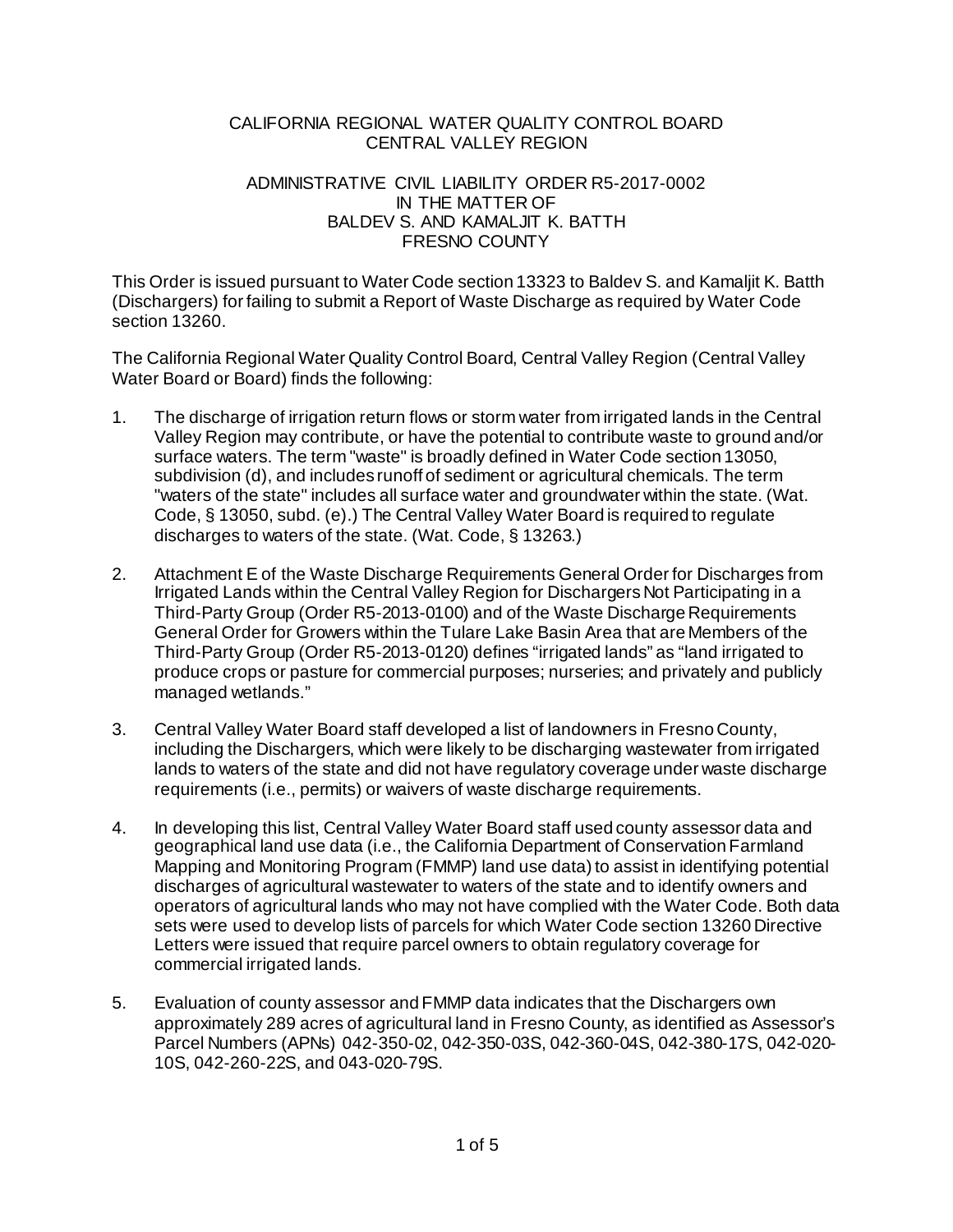## CALIFORNIA REGIONAL WATER QUALITY CONTROL BOARD CENTRAL VALLEY REGION

#### ADMINISTRATIVE CIVIL LIABILITY ORDER R5-2017-0002 IN THE MATTER OF BALDEV S. AND KAMALJIT K. BATTH FRESNO COUNTY

This Order is issued pursuant to Water Code section 13323 to Baldev S. and Kamaljit K. Batth (Dischargers) for failing to submit a Report of Waste Discharge as required by Water Code section 13260.

The California Regional Water Quality Control Board, Central Valley Region (Central Valley Water Board or Board) finds the following:

- 1. The discharge of irrigation return flows or storm water from irrigated lands in the Central Valley Region may contribute, or have the potential to contribute waste to ground and/or surface waters. The term "waste" is broadly defined in Water Code section 13050, subdivision (d), and includes runoff of sediment or agricultural chemicals. The term "waters of the state" includes all surface water and groundwater within the state. (Wat. Code, § 13050, subd. (e).) The Central Valley Water Board is required to regulate discharges to waters of the state. (Wat. Code, § 13263.)
- 2. Attachment E of the Waste Discharge Requirements General Order for Discharges from Irrigated Lands within the Central Valley Region for Dischargers Not Participating in a Third-Party Group (Order R5-2013-0100) and of the Waste Discharge Requirements General Order for Growers within the Tulare Lake Basin Area that are Members of the Third-Party Group (Order R5-2013-0120) defines "irrigated lands" as "land irrigated to produce crops or pasture for commercial purposes; nurseries; and privately and publicly managed wetlands."
- 3. Central Valley Water Board staff developed a list of landowners in Fresno County, including the Dischargers, which were likely to be discharging wastewater from irrigated lands to waters of the state and did not have regulatory coverage under waste discharge requirements (i.e., permits) or waivers of waste discharge requirements.
- 4. In developing this list, Central Valley Water Board staff used county assessor data and geographical land use data (i.e., the California Department of Conservation Farmland Mapping and Monitoring Program (FMMP) land use data) to assist in identifying potential discharges of agricultural wastewater to waters of the state and to identify owners and operators of agricultural lands who may not have complied with the Water Code. Both data sets were used to develop lists of parcels for which Water Code section 13260 Directive Letters were issued that require parcel owners to obtain regulatory coverage for commercial irrigated lands.
- 5. Evaluation of county assessor and FMMP data indicates that the Dischargers own approximately 289 acres of agricultural land in Fresno County, as identified as Assessor's Parcel Numbers (APNs) 042-350-02, 042-350-03S, 042-360-04S, 042-380-17S, 042-020- 10S, 042-260-22S, and 043-020-79S.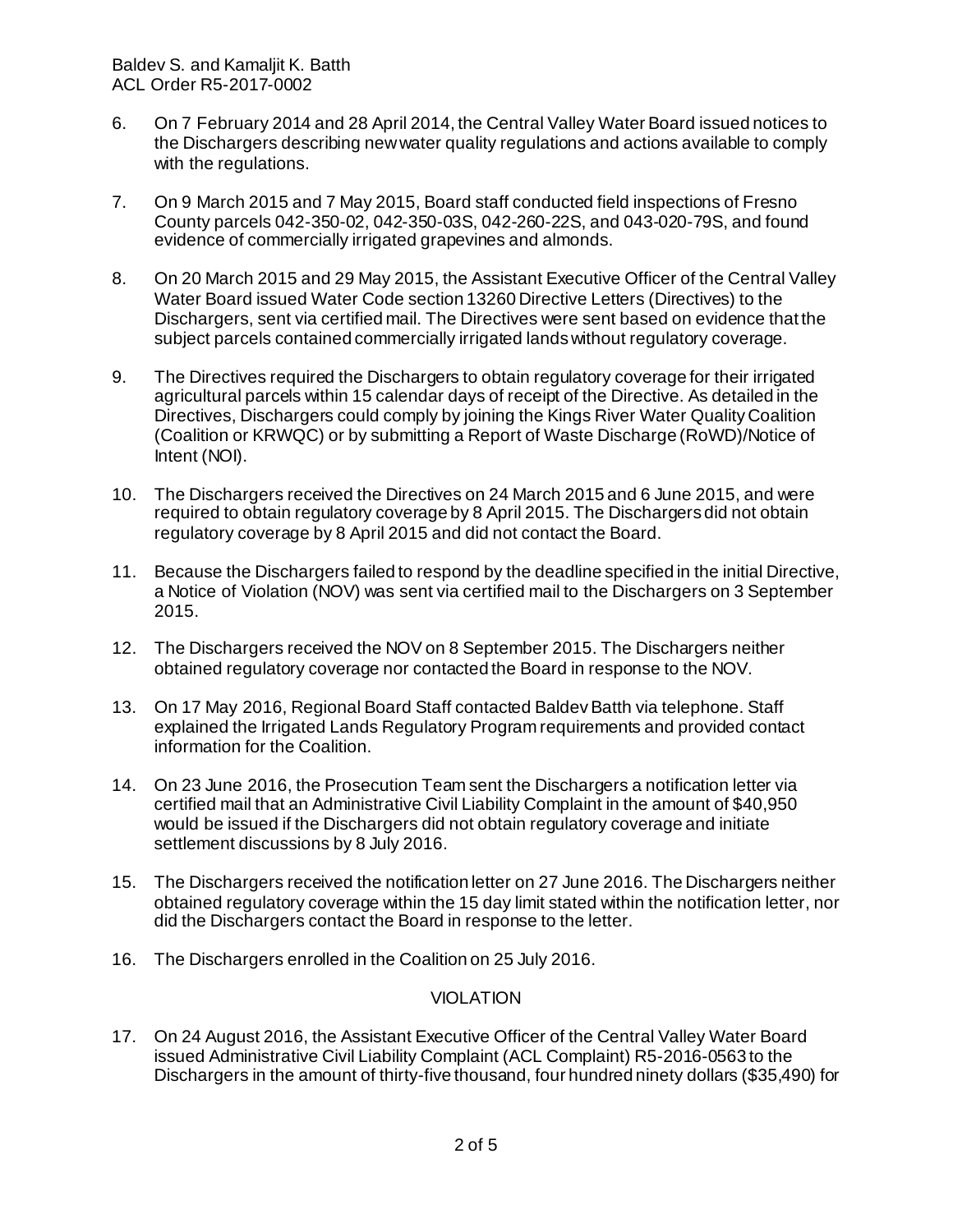- 6. On 7 February 2014 and 28 April 2014, the Central Valley Water Board issued notices to the Dischargers describing new water quality regulations and actions available to comply with the regulations.
- 7. On 9 March 2015 and 7 May 2015, Board staff conducted field inspections of Fresno County parcels 042-350-02, 042-350-03S, 042-260-22S, and 043-020-79S, and found evidence of commercially irrigated grapevines and almonds.
- 8. On 20 March 2015 and 29 May 2015, the Assistant Executive Officer of the Central Valley Water Board issued Water Code section 13260 Directive Letters (Directives) to the Dischargers, sent via certified mail. The Directives were sent based on evidence that the subject parcels contained commercially irrigated lands without regulatory coverage.
- 9. The Directives required the Dischargers to obtain regulatory coverage for their irrigated agricultural parcels within 15 calendar days of receipt of the Directive. As detailed in the Directives, Dischargers could comply by joining the Kings River Water Quality Coalition (Coalition or KRWQC) or by submitting a Report of Waste Discharge (RoWD)/Notice of Intent (NOI).
- 10. The Dischargers received the Directives on 24 March 2015 and 6 June 2015, and were required to obtain regulatory coverage by 8 April 2015. The Dischargers did not obtain regulatory coverage by 8 April 2015 and did not contact the Board.
- 11. Because the Dischargers failed to respond by the deadline specified in the initial Directive, a Notice of Violation (NOV) was sent via certified mail to the Dischargers on 3 September 2015.
- 12. The Dischargers received the NOV on 8 September 2015. The Dischargers neither obtained regulatory coverage nor contacted the Board in response to the NOV.
- 13. On 17 May 2016, Regional Board Staff contacted Baldev Batth via telephone. Staff explained the Irrigated Lands Regulatory Program requirements and provided contact information for the Coalition.
- 14. On 23 June 2016, the Prosecution Team sent the Dischargers a notification letter via certified mail that an Administrative Civil Liability Complaint in the amount of \$40,950 would be issued if the Dischargers did not obtain regulatory coverage and initiate settlement discussions by 8 July 2016.
- 15. The Dischargers received the notification letter on 27 June 2016. The Dischargers neither obtained regulatory coverage within the 15 day limit stated within the notification letter, nor did the Dischargers contact the Board in response to the letter.
- 16. The Dischargers enrolled in the Coalition on 25 July 2016.

# VIOLATION

17. On 24 August 2016, the Assistant Executive Officer of the Central Valley Water Board issued Administrative Civil Liability Complaint (ACL Complaint) R5-2016-0563 to the Dischargers in the amount of thirty-five thousand, four hundred ninety dollars (\$35,490) for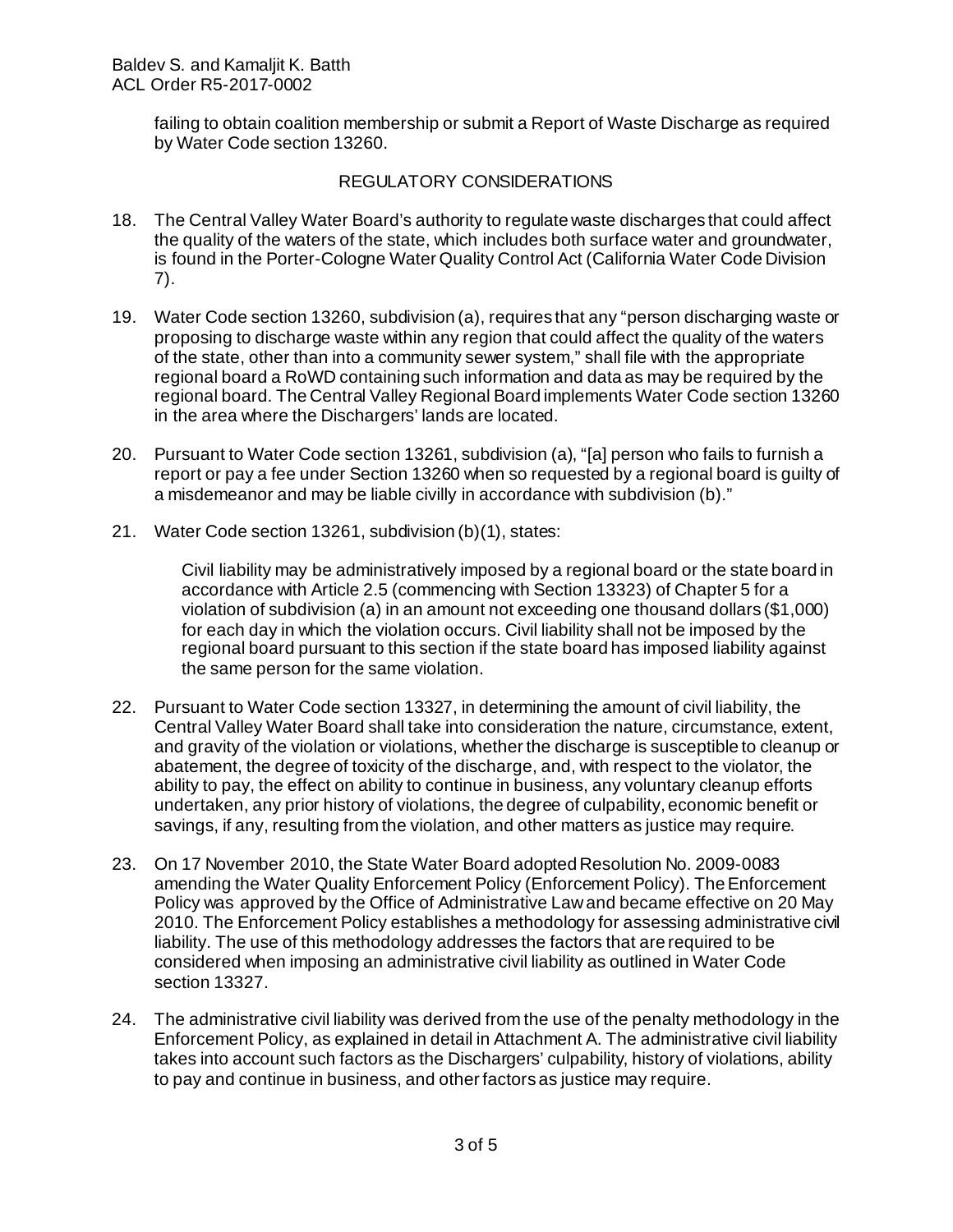failing to obtain coalition membership or submit a Report of Waste Discharge as required by Water Code section 13260.

## REGULATORY CONSIDERATIONS

- 18. The Central Valley Water Board's authority to regulate waste discharges that could affect the quality of the waters of the state, which includes both surface water and groundwater, is found in the Porter-Cologne Water Quality Control Act (California Water Code Division 7).
- 19. Water Code section 13260, subdivision (a), requires that any "person discharging waste or proposing to discharge waste within any region that could affect the quality of the waters of the state, other than into a community sewer system," shall file with the appropriate regional board a RoWD containing such information and data as may be required by the regional board. The Central Valley Regional Board implements Water Code section 13260 in the area where the Dischargers' lands are located.
- 20. Pursuant to Water Code section 13261, subdivision (a), "[a] person who fails to furnish a report or pay a fee under Section 13260 when so requested by a regional board is guilty of a misdemeanor and may be liable civilly in accordance with subdivision (b)."
- 21. Water Code section 13261, subdivision (b)(1), states:

Civil liability may be administratively imposed by a regional board or the state board in accordance with Article 2.5 (commencing with Section 13323) of Chapter 5 for a violation of subdivision (a) in an amount not exceeding one thousand dollars (\$1,000) for each day in which the violation occurs. Civil liability shall not be imposed by the regional board pursuant to this section if the state board has imposed liability against the same person for the same violation.

- 22. Pursuant to Water Code section 13327, in determining the amount of civil liability, the Central Valley Water Board shall take into consideration the nature, circumstance, extent, and gravity of the violation or violations, whether the discharge is susceptible to cleanup or abatement, the degree of toxicity of the discharge, and, with respect to the violator, the ability to pay, the effect on ability to continue in business, any voluntary cleanup efforts undertaken, any prior history of violations, the degree of culpability, economic benefit or savings, if any, resulting from the violation, and other matters as justice may require.
- 23. On 17 November 2010, the State Water Board adopted Resolution No. 2009-0083 amending the Water Quality Enforcement Policy (Enforcement Policy). The Enforcement Policy was approved by the Office of Administrative Law and became effective on 20 May 2010. The Enforcement Policy establishes a methodology for assessing administrative civil liability. The use of this methodology addresses the factors that are required to be considered when imposing an administrative civil liability as outlined in Water Code section 13327.
- 24. The administrative civil liability was derived from the use of the penalty methodology in the Enforcement Policy, as explained in detail in Attachment A. The administrative civil liability takes into account such factors as the Dischargers' culpability, history of violations, ability to pay and continue in business, and other factors as justice may require.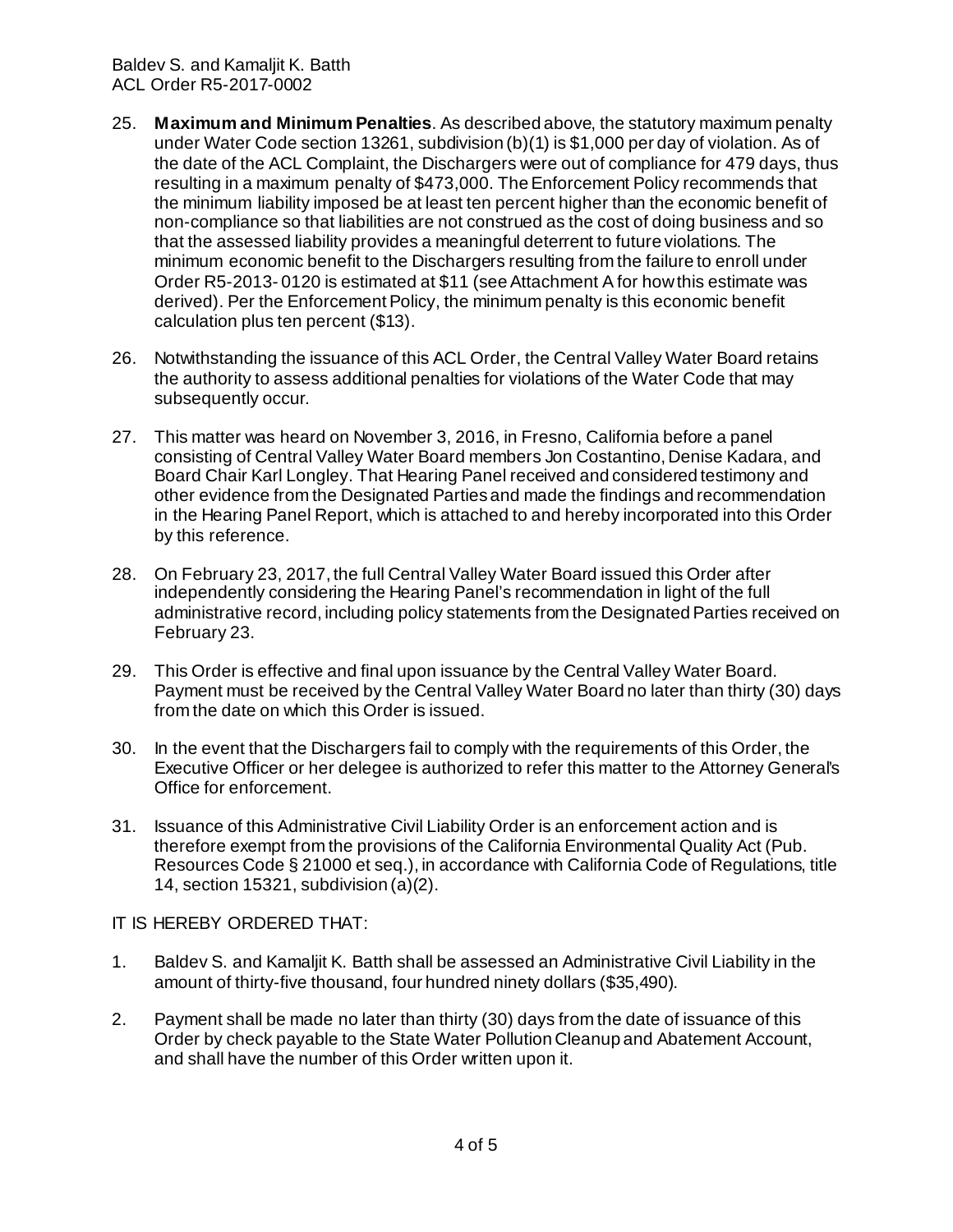- 25. **Maximum and Minimum Penalties**. As described above, the statutory maximum penalty under Water Code section 13261, subdivision (b)(1) is \$1,000 per day of violation. As of the date of the ACL Complaint, the Dischargers were out of compliance for 479 days, thus resulting in a maximum penalty of \$473,000. The Enforcement Policy recommends that the minimum liability imposed be at least ten percent higher than the economic benefit of non-compliance so that liabilities are not construed as the cost of doing business and so that the assessed liability provides a meaningful deterrent to future violations. The minimum economic benefit to the Dischargers resulting from the failure to enroll under Order R5-2013- 0120 is estimated at \$11 (see Attachment A for how this estimate was derived). Per the Enforcement Policy, the minimum penalty is this economic benefit calculation plus ten percent (\$13).
- 26. Notwithstanding the issuance of this ACL Order, the Central Valley Water Board retains the authority to assess additional penalties for violations of the Water Code that may subsequently occur.
- 27. This matter was heard on November 3, 2016, in Fresno, California before a panel consisting of Central Valley Water Board members Jon Costantino, Denise Kadara, and Board Chair Karl Longley. That Hearing Panel received and considered testimony and other evidence from the Designated Parties and made the findings and recommendation in the Hearing Panel Report, which is attached to and hereby incorporated into this Order by this reference.
- 28. On February 23, 2017, the full Central Valley Water Board issued this Order after independently considering the Hearing Panel's recommendation in light of the full administrative record, including policy statements from the Designated Parties received on February 23.
- 29. This Order is effective and final upon issuance by the Central Valley Water Board. Payment must be received by the Central Valley Water Board no later than thirty (30) days from the date on which this Order is issued.
- 30. In the event that the Dischargers fail to comply with the requirements of this Order, the Executive Officer or her delegee is authorized to refer this matter to the Attorney General's Office for enforcement.
- 31. Issuance of this Administrative Civil Liability Order is an enforcement action and is therefore exempt from the provisions of the California Environmental Quality Act (Pub. Resources Code § 21000 et seq.), in accordance with California Code of Regulations, title 14, section 15321, subdivision (a)(2).

IT IS HEREBY ORDERED THAT:

- 1. Baldev S. and Kamaljit K. Batth shall be assessed an Administrative Civil Liability in the amount of thirty-five thousand, four hundred ninety dollars (\$35,490).
- 2. Payment shall be made no later than thirty (30) days from the date of issuance of this Order by check payable to the State Water Pollution Cleanup and Abatement Account, and shall have the number of this Order written upon it.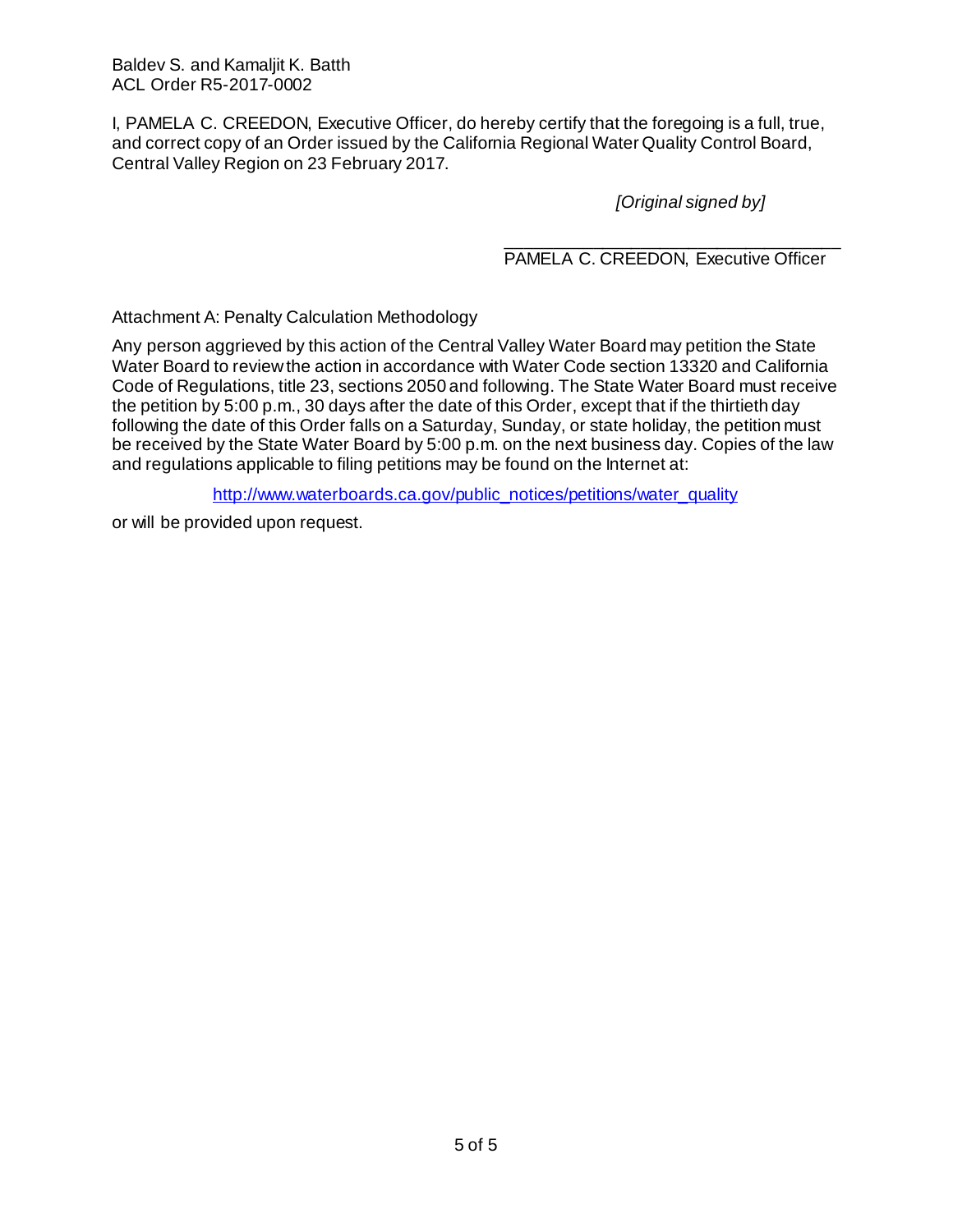I, PAMELA C. CREEDON, Executive Officer, do hereby certify that the foregoing is a full, true, and correct copy of an Order issued by the California Regional Water Quality Control Board, Central Valley Region on 23 February 2017.

*[Original signed by]*

\_\_\_\_\_\_\_\_\_\_\_\_\_\_\_\_\_\_\_\_\_\_\_\_\_\_\_\_\_\_\_\_\_\_\_ PAMELA C. CREEDON, Executive Officer

Attachment A: Penalty Calculation Methodology

Any person aggrieved by this action of the Central Valley Water Board may petition the State Water Board to review the action in accordance with Water Code section 13320 and California Code of Regulations, title 23, sections 2050 and following. The State Water Board must receive the petition by 5:00 p.m., 30 days after the date of this Order, except that if the thirtieth day following the date of this Order falls on a Saturday, Sunday, or state holiday, the petition must be received by the State Water Board by 5:00 p.m. on the next business day. Copies of the law and regulations applicable to filing petitions may be found on the Internet at:

[http://www.waterboards.ca.gov/public\\_notices/petitions/water\\_quality](http://www.waterboards.ca.gov/public_notices/petitions/water_quality)

or will be provided upon request.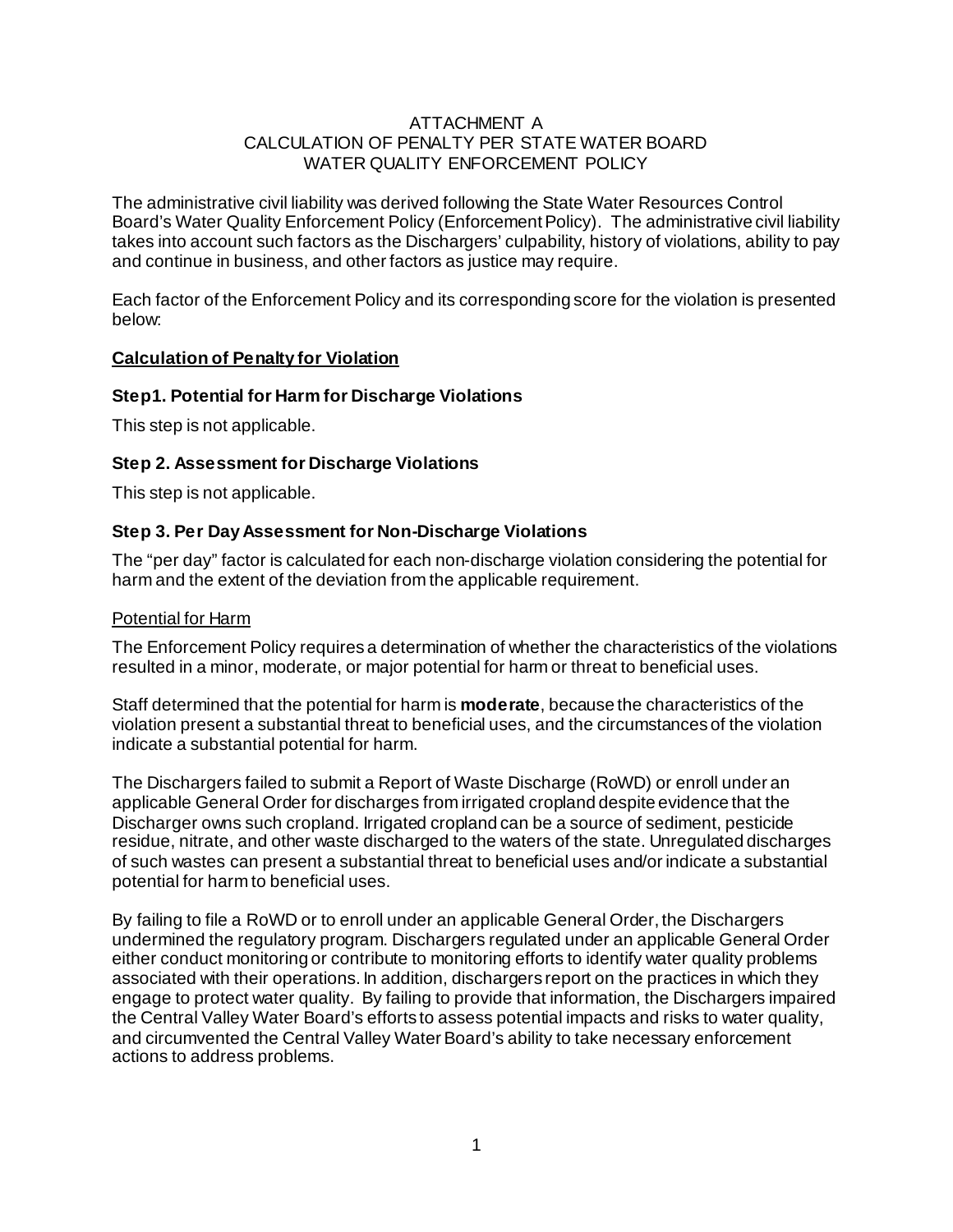## ATTACHMENT A CALCULATION OF PENALTY PER STATE WATER BOARD WATER QUALITY ENFORCEMENT POLICY

The administrative civil liability was derived following the State Water Resources Control Board's Water Quality Enforcement Policy (Enforcement Policy). The administrative civil liability takes into account such factors as the Dischargers' culpability, history of violations, ability to pay and continue in business, and other factors as justice may require.

Each factor of the Enforcement Policy and its corresponding score for the violation is presented below:

## **Calculation of Penalty for Violation**

## **Step1. Potential for Harm for Discharge Violations**

This step is not applicable.

## **Step 2. Assessment for Discharge Violations**

This step is not applicable.

## **Step 3. Per Day Assessment for Non-Discharge Violations**

The "per day" factor is calculated for each non-discharge violation considering the potential for harm and the extent of the deviation from the applicable requirement.

#### Potential for Harm

The Enforcement Policy requires a determination of whether the characteristics of the violations resulted in a minor, moderate, or major potential for harm or threat to beneficial uses.

Staff determined that the potential for harm is **moderate**, because the characteristics of the violation present a substantial threat to beneficial uses, and the circumstances of the violation indicate a substantial potential for harm.

The Dischargers failed to submit a Report of Waste Discharge (RoWD) or enroll under an applicable General Order for discharges from irrigated cropland despite evidence that the Discharger owns such cropland. Irrigated cropland can be a source of sediment, pesticide residue, nitrate, and other waste discharged to the waters of the state. Unregulated discharges of such wastes can present a substantial threat to beneficial uses and/or indicate a substantial potential for harm to beneficial uses.

By failing to file a RoWD or to enroll under an applicable General Order, the Dischargers undermined the regulatory program. Dischargers regulated under an applicable General Order either conduct monitoring or contribute to monitoring efforts to identify water quality problems associated with their operations. In addition, dischargers report on the practices in which they engage to protect water quality. By failing to provide that information, the Dischargers impaired the Central Valley Water Board's efforts to assess potential impacts and risks to water quality, and circumvented the Central Valley Water Board's ability to take necessary enforcement actions to address problems.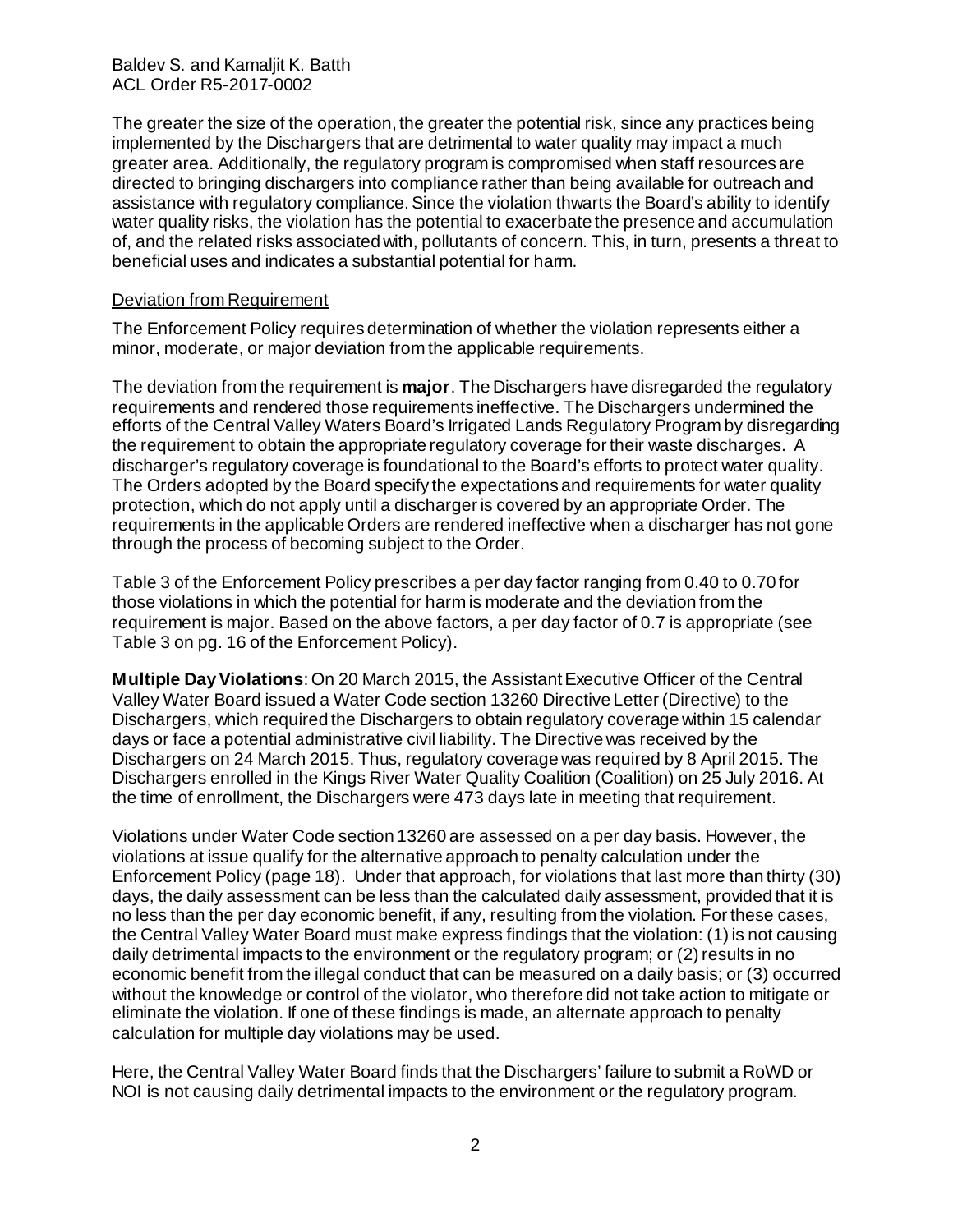The greater the size of the operation, the greater the potential risk, since any practices being implemented by the Dischargers that are detrimental to water quality may impact a much greater area. Additionally, the regulatory program is compromised when staff resources are directed to bringing dischargers into compliance rather than being available for outreach and assistance with regulatory compliance. Since the violation thwarts the Board's ability to identify water quality risks, the violation has the potential to exacerbate the presence and accumulation of, and the related risks associated with, pollutants of concern. This, in turn, presents a threat to beneficial uses and indicates a substantial potential for harm.

#### Deviation from Requirement

The Enforcement Policy requires determination of whether the violation represents either a minor, moderate, or major deviation from the applicable requirements.

The deviation from the requirement is **major**. The Dischargers have disregarded the regulatory requirements and rendered those requirements ineffective. The Dischargers undermined the efforts of the Central Valley Waters Board's Irrigated Lands Regulatory Program by disregarding the requirement to obtain the appropriate regulatory coverage for their waste discharges. A discharger's regulatory coverage is foundational to the Board's efforts to protect water quality. The Orders adopted by the Board specify the expectations and requirements for water quality protection, which do not apply until a discharger is covered by an appropriate Order. The requirements in the applicable Orders are rendered ineffective when a discharger has not gone through the process of becoming subject to the Order.

Table 3 of the Enforcement Policy prescribes a per day factor ranging from 0.40 to 0.70 for those violations in which the potential for harm is moderate and the deviation from the requirement is major. Based on the above factors, a per day factor of 0.7 is appropriate (see Table 3 on pg. 16 of the Enforcement Policy).

**Multiple Day Violations**: On 20 March 2015, the Assistant Executive Officer of the Central Valley Water Board issued a Water Code section 13260 Directive Letter (Directive) to the Dischargers, which required the Dischargers to obtain regulatory coverage within 15 calendar days or face a potential administrative civil liability. The Directive was received by the Dischargers on 24 March 2015. Thus, regulatory coverage was required by 8 April 2015. The Dischargers enrolled in the Kings River Water Quality Coalition (Coalition) on 25 July 2016. At the time of enrollment, the Dischargers were 473 days late in meeting that requirement.

Violations under Water Code section 13260 are assessed on a per day basis. However, the violations at issue qualify for the alternative approach to penalty calculation under the Enforcement Policy (page 18). Under that approach, for violations that last more than thirty (30) days, the daily assessment can be less than the calculated daily assessment, provided that it is no less than the per day economic benefit, if any, resulting from the violation. For these cases, the Central Valley Water Board must make express findings that the violation: (1) is not causing daily detrimental impacts to the environment or the regulatory program; or (2) results in no economic benefit from the illegal conduct that can be measured on a daily basis; or (3) occurred without the knowledge or control of the violator, who therefore did not take action to mitigate or eliminate the violation. If one of these findings is made, an alternate approach to penalty calculation for multiple day violations may be used.

Here, the Central Valley Water Board finds that the Dischargers' failure to submit a RoWD or NOI is not causing daily detrimental impacts to the environment or the regulatory program.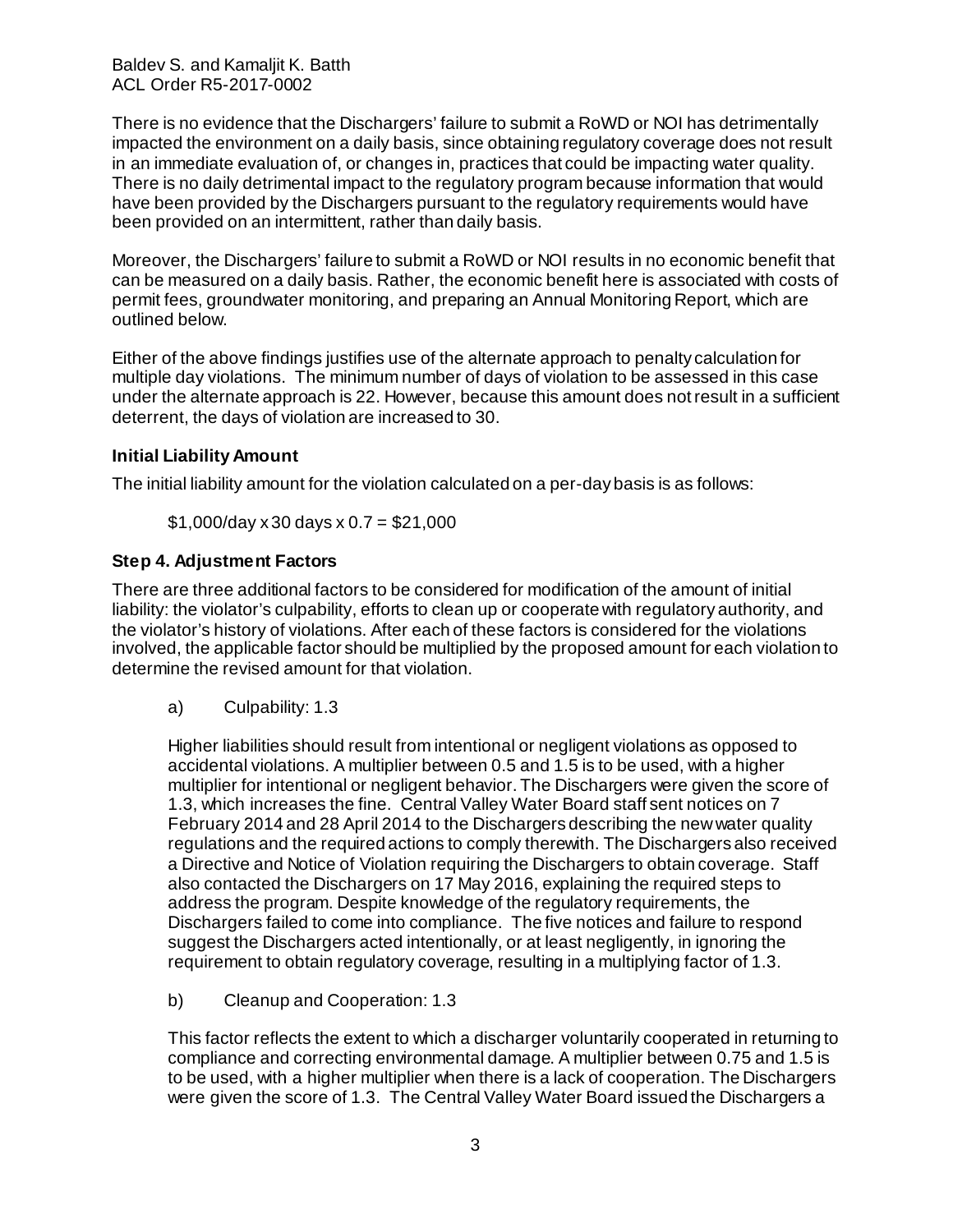There is no evidence that the Dischargers' failure to submit a RoWD or NOI has detrimentally impacted the environment on a daily basis, since obtaining regulatory coverage does not result in an immediate evaluation of, or changes in, practices that could be impacting water quality. There is no daily detrimental impact to the regulatory program because information that would have been provided by the Dischargers pursuant to the regulatory requirements would have been provided on an intermittent, rather than daily basis.

Moreover, the Dischargers' failure to submit a RoWD or NOI results in no economic benefit that can be measured on a daily basis. Rather, the economic benefit here is associated with costs of permit fees, groundwater monitoring, and preparing an Annual Monitoring Report, which are outlined below.

Either of the above findings justifies use of the alternate approach to penalty calculation for multiple day violations. The minimum number of days of violation to be assessed in this case under the alternate approach is 22. However, because this amount does not result in a sufficient deterrent, the days of violation are increased to 30.

# **Initial Liability Amount**

The initial liability amount for the violation calculated on a per-day basis is as follows:

 $$1,000$ /day x 30 days x 0.7 = \$21,000

# **Step 4. Adjustment Factors**

There are three additional factors to be considered for modification of the amount of initial liability: the violator's culpability, efforts to clean up or cooperate with regulatory authority, and the violator's history of violations. After each of these factors is considered for the violations involved, the applicable factor should be multiplied by the proposed amount for each violation to determine the revised amount for that violation.

a) Culpability: 1.3

Higher liabilities should result from intentional or negligent violations as opposed to accidental violations. A multiplier between 0.5 and 1.5 is to be used, with a higher multiplier for intentional or negligent behavior. The Dischargers were given the score of 1.3, which increases the fine. Central Valley Water Board staff sent notices on 7 February 2014 and 28 April 2014 to the Dischargers describing the new water quality regulations and the required actions to comply therewith. The Dischargers also received a Directive and Notice of Violation requiring the Dischargers to obtain coverage. Staff also contacted the Dischargers on 17 May 2016, explaining the required steps to address the program. Despite knowledge of the regulatory requirements, the Dischargers failed to come into compliance. The five notices and failure to respond suggest the Dischargers acted intentionally, or at least negligently, in ignoring the requirement to obtain regulatory coverage, resulting in a multiplying factor of 1.3.

b) Cleanup and Cooperation: 1.3

This factor reflects the extent to which a discharger voluntarily cooperated in returning to compliance and correcting environmental damage. A multiplier between 0.75 and 1.5 is to be used, with a higher multiplier when there is a lack of cooperation. The Dischargers were given the score of 1.3. The Central Valley Water Board issued the Dischargers a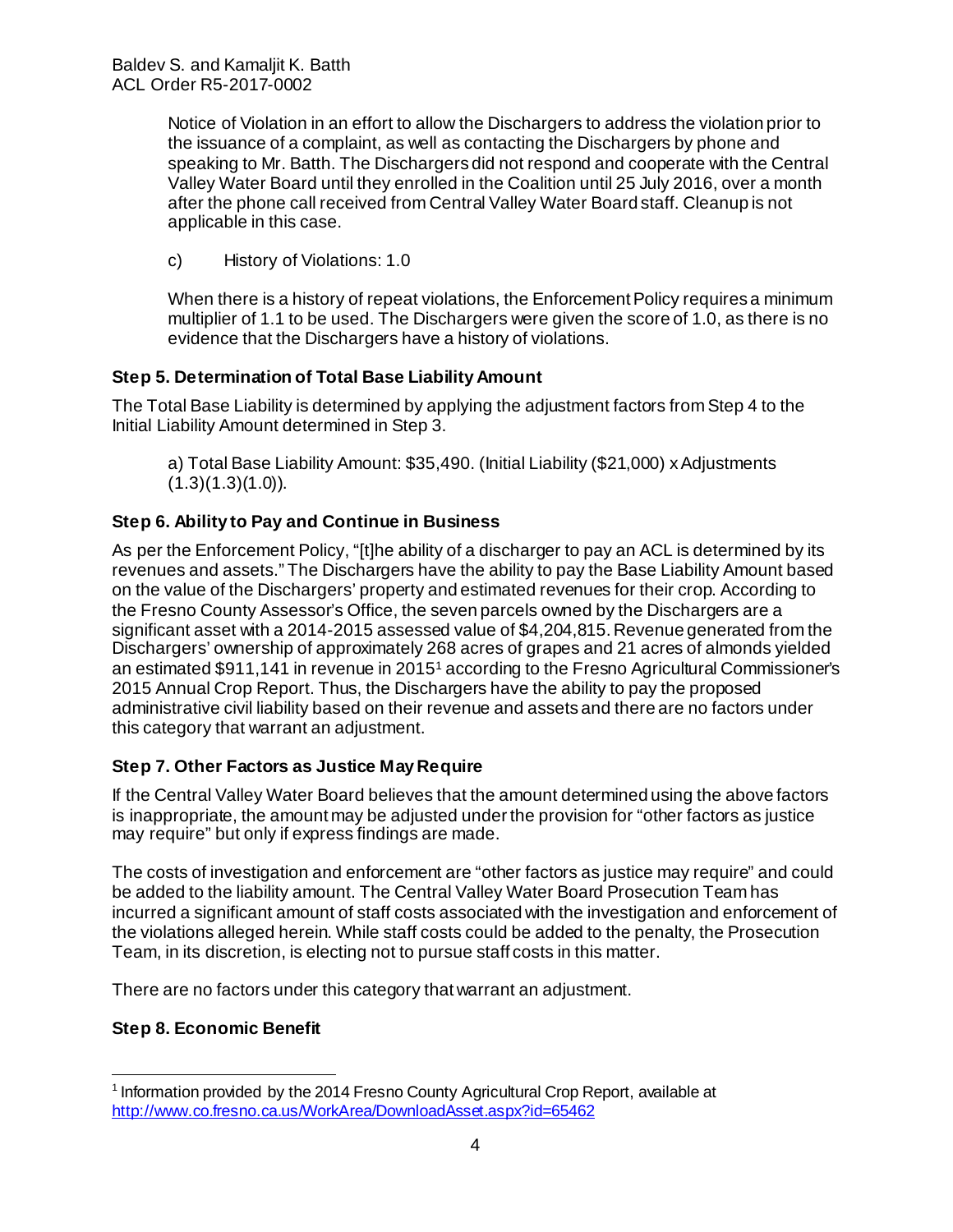Notice of Violation in an effort to allow the Dischargers to address the violation prior to the issuance of a complaint, as well as contacting the Dischargers by phone and speaking to Mr. Batth. The Dischargers did not respond and cooperate with the Central Valley Water Board until they enrolled in the Coalition until 25 July 2016, over a month after the phone call received from Central Valley Water Board staff. Cleanup is not applicable in this case.

c) History of Violations: 1.0

When there is a history of repeat violations, the Enforcement Policy requires a minimum multiplier of 1.1 to be used. The Dischargers were given the score of 1.0, as there is no evidence that the Dischargers have a history of violations.

# **Step 5. Determination of Total Base Liability Amount**

The Total Base Liability is determined by applying the adjustment factors from Step 4 to the Initial Liability Amount determined in Step 3.

a) Total Base Liability Amount: \$35,490. (Initial Liability (\$21,000) x Adjustments  $(1.3)(1.3)(1.0)$ .

# **Step 6. Ability to Pay and Continue in Business**

As per the Enforcement Policy, "[t]he ability of a discharger to pay an ACL is determined by its revenues and assets." The Dischargers have the ability to pay the Base Liability Amount based on the value of the Dischargers' property and estimated revenues for their crop. According to the Fresno County Assessor's Office, the seven parcels owned by the Dischargers are a significant asset with a 2014-2015 assessed value of \$4,204,815. Revenue generated from the Dischargers' ownership of approximately 268 acres of grapes and 21 acres of almonds yielded an estimated \$911,141 in revenue in 2015[1](#page-8-0) according to the Fresno Agricultural Commissioner's 2015 Annual Crop Report. Thus, the Dischargers have the ability to pay the proposed administrative civil liability based on their revenue and assets and there are no factors under this category that warrant an adjustment.

# **Step 7. Other Factors as Justice May Require**

If the Central Valley Water Board believes that the amount determined using the above factors is inappropriate, the amount may be adjusted under the provision for "other factors as justice may require" but only if express findings are made.

The costs of investigation and enforcement are "other factors as justice may require" and could be added to the liability amount. The Central Valley Water Board Prosecution Team has incurred a significant amount of staff costs associated with the investigation and enforcement of the violations alleged herein. While staff costs could be added to the penalty, the Prosecution Team, in its discretion, is electing not to pursue staff costs in this matter.

There are no factors under this category that warrant an adjustment.

# **Step 8. Economic Benefit**

<span id="page-8-0"></span> <sup>1</sup> Information provided by the 2014 Fresno County Agricultural Crop Report, available at <http://www.co.fresno.ca.us/WorkArea/DownloadAsset.aspx?id=65462>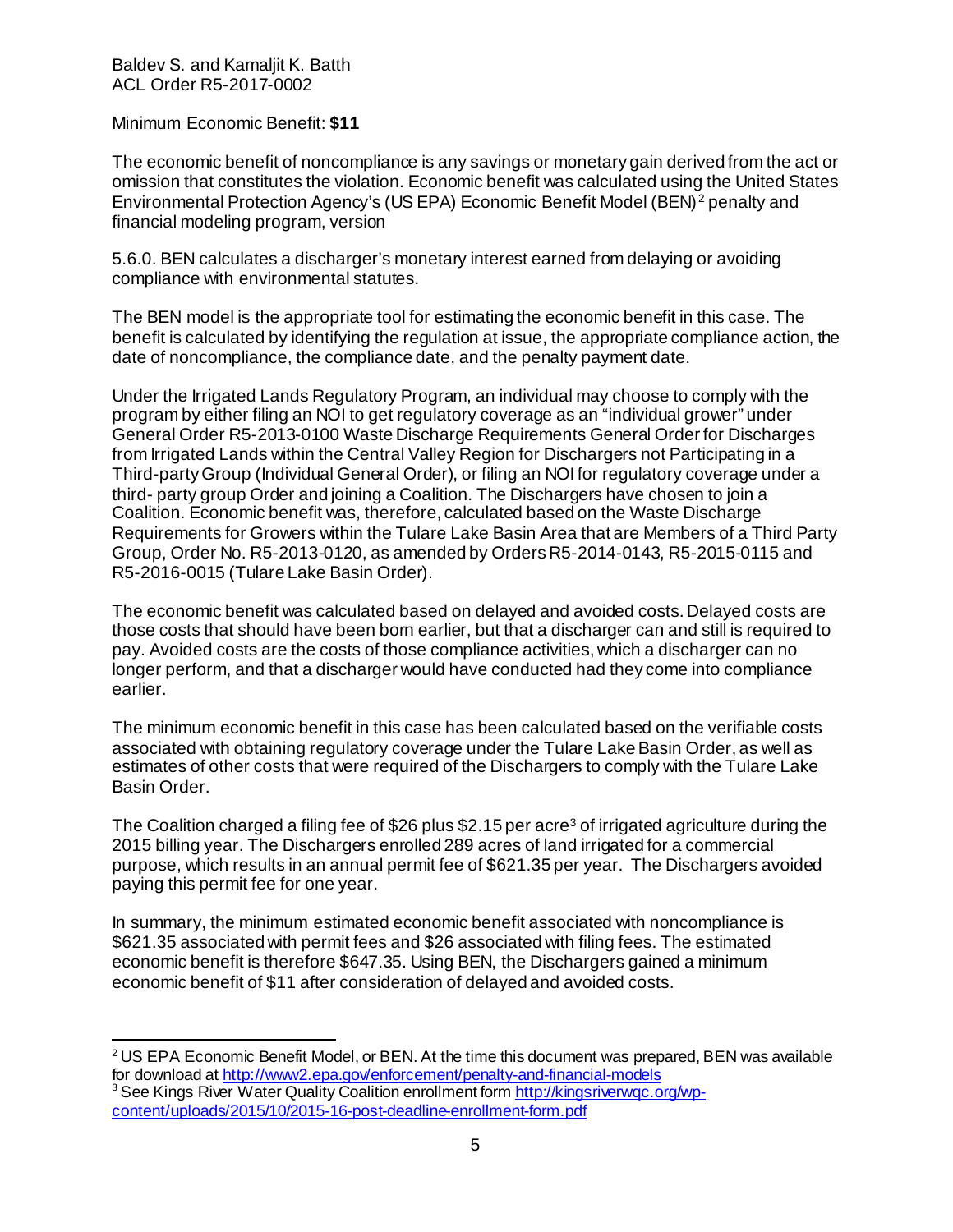Minimum Economic Benefit: **\$11**

The economic benefit of noncompliance is any savings or monetary gain derived from the act or omission that constitutes the violation. Economic benefit was calculated using the United States Environmental Protection Agency's (US EPA) Economic Benefit Model (BEN) [2](#page-9-0) penalty and financial modeling program, version

5.6.0. BEN calculates a discharger's monetary interest earned from delaying or avoiding compliance with environmental statutes.

The BEN model is the appropriate tool for estimating the economic benefit in this case. The benefit is calculated by identifying the regulation at issue, the appropriate compliance action, the date of noncompliance, the compliance date, and the penalty payment date.

Under the Irrigated Lands Regulatory Program, an individual may choose to comply with the program by either filing an NOI to get regulatory coverage as an "individual grower" under General Order R5-2013-0100 Waste Discharge Requirements General Order for Discharges from Irrigated Lands within the Central Valley Region for Dischargers not Participating in a Third-party Group (Individual General Order), or filing an NOI for regulatory coverage under a third- party group Order and joining a Coalition. The Dischargers have chosen to join a Coalition. Economic benefit was, therefore, calculated based on the Waste Discharge Requirements for Growers within the Tulare Lake Basin Area that are Members of a Third Party Group, Order No. R5-2013-0120, as amended by Orders R5-2014-0143, R5-2015-0115 and R5-2016-0015 (Tulare Lake Basin Order).

The economic benefit was calculated based on delayed and avoided costs. Delayed costs are those costs that should have been born earlier, but that a discharger can and still is required to pay. Avoided costs are the costs of those compliance activities, which a discharger can no longer perform, and that a discharger would have conducted had they come into compliance earlier.

The minimum economic benefit in this case has been calculated based on the verifiable costs associated with obtaining regulatory coverage under the Tulare Lake Basin Order, as well as estimates of other costs that were required of the Dischargers to comply with the Tulare Lake Basin Order.

The Coalition charged a filing fee of \$26 plus \$2.15 per acre<sup>3</sup> of irrigated agriculture during the 2015 billing year. The Dischargers enrolled 289 acres of land irrigated for a commercial purpose, which results in an annual permit fee of \$621.35 per year. The Dischargers avoided paying this permit fee for one year.

In summary, the minimum estimated economic benefit associated with noncompliance is \$621.35 associated with permit fees and \$26 associated with filing fees. The estimated economic benefit is therefore \$647.35. Using BEN, the Dischargers gained a minimum economic benefit of \$11 after consideration of delayed and avoided costs.

<span id="page-9-0"></span> $2 \text{US EPA}$  Economic Benefit Model, or BEN. At the time this document was prepared, BEN was available for download at<http://www2.epa.gov/enforcement/penalty-and-financial-models>

<span id="page-9-1"></span><sup>&</sup>lt;sup>3</sup> See Kings River Water Quality Coalition enrollment form http://kingsriverwgc.org/wp[content/uploads/2015/10/2015-16-post-deadline-enrollment-form.pdf](http://kingsriverwqc.org/wp-%20content/uploads/2015/10/2015-16-post-deadline-enrollment-form.pdf)